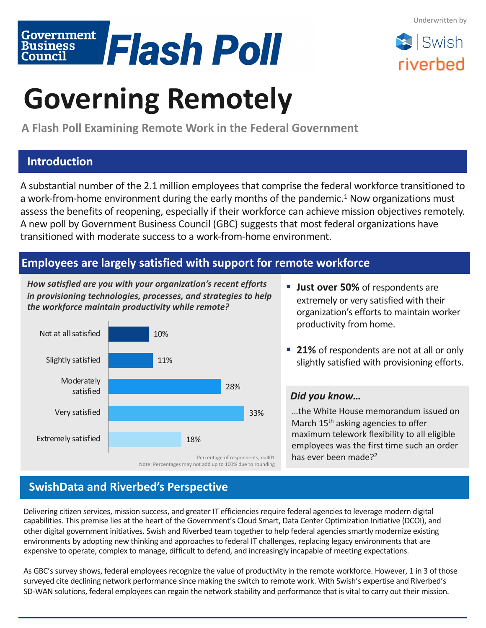Swish

riverbed



# **Governing Remotely**

**A Flash Poll Examining Remote Work in the Federal Government**

## **Introduction**

A substantial number of the 2.1 million employees that comprise the federal workforce transitioned to a work-from-home environment during the early months of the pandemic.<sup>1</sup> Now organizations must assess the benefits of reopening, especially if their workforce can achieve mission objectives remotely. A new poll by Government Business Council (GBC) suggests that most federal organizations have transitioned with moderate success to a work-from-home environment.

### **Employees are largely satisfied with support for remote workforce**

*How satisfied are you with your organization's recent efforts in provisioning technologies, processes, and strategies to help the workforce maintain productivity while remote?*



Note: Percentages may not add up to 100% due to rounding

- **Just over 50%** of respondents are extremely or very satisfied with their organization's efforts to maintain worker productivity from home.
- 21% of respondents are not at all or only slightly satisfied with provisioning efforts.

#### *Did you know…*

…the White House memorandum issued on March 15<sup>th</sup> asking agencies to offer maximum telework flexibility to all eligible employees was the first time such an order has ever been made?<sup>2</sup>

# **SwishData and Riverbed's Perspective**

Delivering citizen services, mission success, and greater IT efficiencies require federal agencies to leverage modern digital capabilities. This premise lies at the heart of the Government's Cloud Smart, Data Center Optimization Initiative (DCOI), and other digital government initiatives. Swish and Riverbed team together to help federal agencies smartly modernize existing environments by adopting new thinking and approaches to federal IT challenges, replacing legacy environments that are expensive to operate, complex to manage, difficult to defend, and increasingly incapable of meeting expectations.

As GBC's survey shows, federal employees recognize the value of productivity in the remote workforce. However, 1 in 3 of those surveyed cite declining network performance since making the switch to remote work. With Swish's expertise and Riverbed's SD-WAN solutions, federal employees can regain the network stability and performance that is vital to carry out their mission.